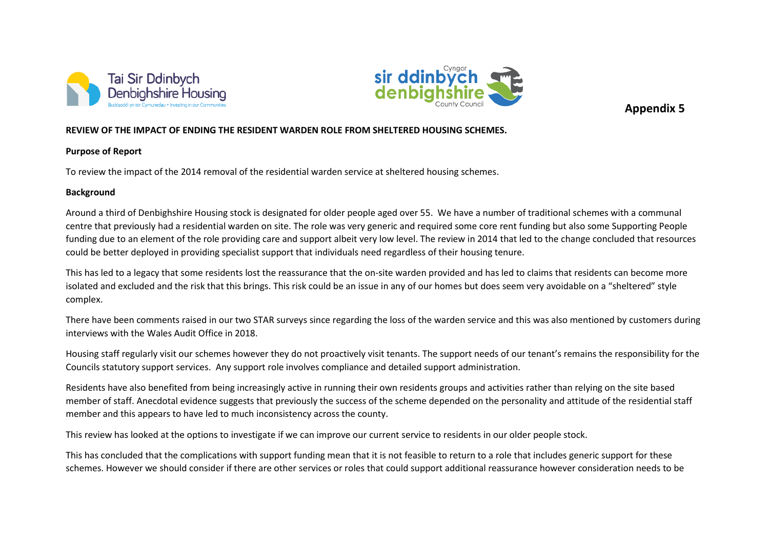



**Appendix 5**

## **REVIEW OF THE IMPACT OF ENDING THE RESIDENT WARDEN ROLE FROM SHELTERED HOUSING SCHEMES.**

### **Purpose of Report**

To review the impact of the 2014 removal of the residential warden service at sheltered housing schemes.

# **Background**

Around a third of Denbighshire Housing stock is designated for older people aged over 55. We have a number of traditional schemes with a communal centre that previously had a residential warden on site. The role was very generic and required some core rent funding but also some Supporting People funding due to an element of the role providing care and support albeit very low level. The review in 2014 that led to the change concluded that resources could be better deployed in providing specialist support that individuals need regardless of their housing tenure.

This has led to a legacy that some residents lost the reassurance that the on-site warden provided and has led to claims that residents can become more isolated and excluded and the risk that this brings. This risk could be an issue in any of our homes but does seem very avoidable on a "sheltered" style complex.

There have been comments raised in our two STAR surveys since regarding the loss of the warden service and this was also mentioned by customers during interviews with the Wales Audit Office in 2018.

Housing staff regularly visit our schemes however they do not proactively visit tenants. The support needs of our tenant's remains the responsibility for the Councils statutory support services. Any support role involves compliance and detailed support administration.

Residents have also benefited from being increasingly active in running their own residents groups and activities rather than relying on the site based member of staff. Anecdotal evidence suggests that previously the success of the scheme depended on the personality and attitude of the residential staff member and this appears to have led to much inconsistency across the county.

This review has looked at the options to investigate if we can improve our current service to residents in our older people stock.

This has concluded that the complications with support funding mean that it is not feasible to return to a role that includes generic support for these schemes. However we should consider if there are other services or roles that could support additional reassurance however consideration needs to be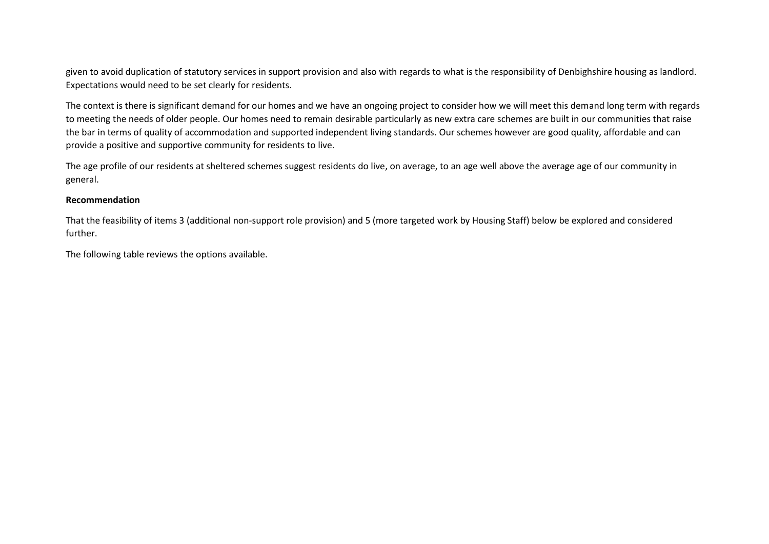given to avoid duplication of statutory services in support provision and also with regards to what is the responsibility of Denbighshire housing as landlord. Expectations would need to be set clearly for residents.

The context is there is significant demand for our homes and we have an ongoing project to consider how we will meet this demand long term with regards to meeting the needs of older people. Our homes need to remain desirable particularly as new extra care schemes are built in our communities that raise the bar in terms of quality of accommodation and supported independent living standards. Our schemes however are good quality, affordable and can provide a positive and supportive community for residents to live.

The age profile of our residents at sheltered schemes suggest residents do live, on average, to an age well above the average age of our community in general.

#### **Recommendation**

That the feasibility of items 3 (additional non-support role provision) and 5 (more targeted work by Housing Staff) below be explored and considered further.

The following table reviews the options available.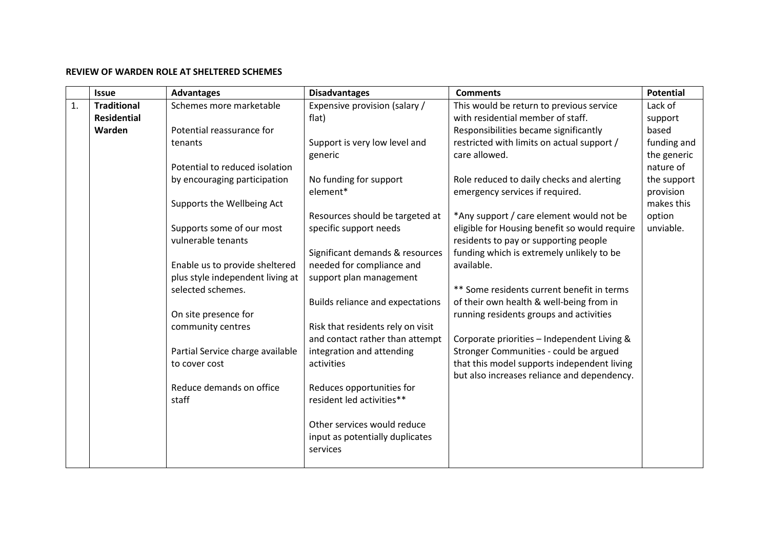## **REVIEW OF WARDEN ROLE AT SHELTERED SCHEMES**

|    | <b>Issue</b>       | <b>Advantages</b>                | <b>Disadvantages</b>                    | <b>Comments</b>                               | <b>Potential</b> |
|----|--------------------|----------------------------------|-----------------------------------------|-----------------------------------------------|------------------|
| 1. | <b>Traditional</b> | Schemes more marketable          | Expensive provision (salary /           | This would be return to previous service      | Lack of          |
|    | <b>Residential</b> |                                  | flat)                                   | with residential member of staff.             | support          |
|    | Warden             | Potential reassurance for        |                                         | Responsibilities became significantly         | based            |
|    |                    | tenants                          | Support is very low level and           | restricted with limits on actual support /    | funding and      |
|    |                    |                                  | generic                                 | care allowed.                                 | the generic      |
|    |                    | Potential to reduced isolation   |                                         |                                               | nature of        |
|    |                    | by encouraging participation     | No funding for support                  | Role reduced to daily checks and alerting     | the support      |
|    |                    |                                  | element*                                | emergency services if required.               | provision        |
|    |                    | Supports the Wellbeing Act       |                                         |                                               | makes this       |
|    |                    |                                  | Resources should be targeted at         | *Any support / care element would not be      | option           |
|    |                    | Supports some of our most        | specific support needs                  | eligible for Housing benefit so would require | unviable.        |
|    |                    | vulnerable tenants               |                                         | residents to pay or supporting people         |                  |
|    |                    |                                  | Significant demands & resources         | funding which is extremely unlikely to be     |                  |
|    |                    | Enable us to provide sheltered   | needed for compliance and               | available.                                    |                  |
|    |                    | plus style independent living at | support plan management                 |                                               |                  |
|    |                    | selected schemes.                |                                         | ** Some residents current benefit in terms    |                  |
|    |                    |                                  | <b>Builds reliance and expectations</b> | of their own health & well-being from in      |                  |
|    |                    | On site presence for             |                                         | running residents groups and activities       |                  |
|    |                    | community centres                | Risk that residents rely on visit       |                                               |                  |
|    |                    |                                  | and contact rather than attempt         | Corporate priorities - Independent Living &   |                  |
|    |                    | Partial Service charge available | integration and attending               | Stronger Communities - could be argued        |                  |
|    |                    | to cover cost                    | activities                              | that this model supports independent living   |                  |
|    |                    |                                  |                                         | but also increases reliance and dependency.   |                  |
|    |                    | Reduce demands on office         | Reduces opportunities for               |                                               |                  |
|    |                    | staff                            | resident led activities**               |                                               |                  |
|    |                    |                                  |                                         |                                               |                  |
|    |                    |                                  | Other services would reduce             |                                               |                  |
|    |                    |                                  | input as potentially duplicates         |                                               |                  |
|    |                    |                                  | services                                |                                               |                  |
|    |                    |                                  |                                         |                                               |                  |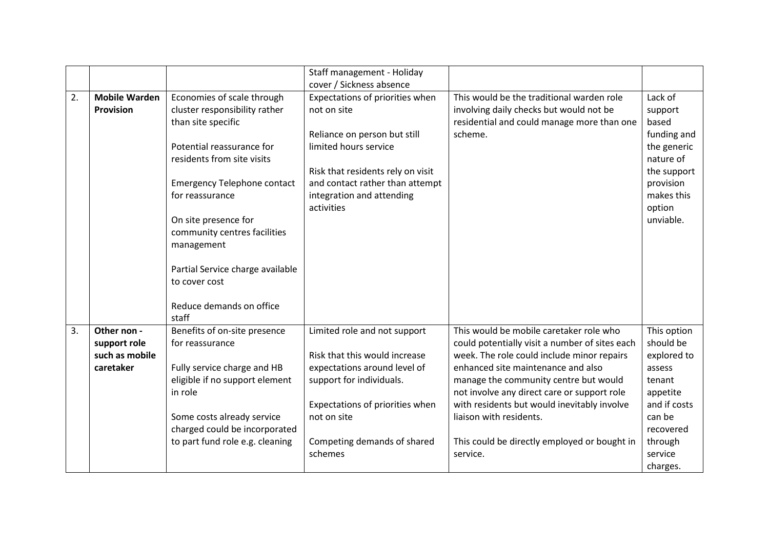|    |                      |                                    | Staff management - Holiday        |                                                |              |
|----|----------------------|------------------------------------|-----------------------------------|------------------------------------------------|--------------|
|    |                      |                                    | cover / Sickness absence          |                                                |              |
| 2. | <b>Mobile Warden</b> | Economies of scale through         | Expectations of priorities when   | This would be the traditional warden role      | Lack of      |
|    | <b>Provision</b>     | cluster responsibility rather      | not on site                       | involving daily checks but would not be        | support      |
|    |                      | than site specific                 |                                   | residential and could manage more than one     | based        |
|    |                      |                                    | Reliance on person but still      | scheme.                                        | funding and  |
|    |                      | Potential reassurance for          | limited hours service             |                                                | the generic  |
|    |                      | residents from site visits         |                                   |                                                | nature of    |
|    |                      |                                    | Risk that residents rely on visit |                                                | the support  |
|    |                      | <b>Emergency Telephone contact</b> | and contact rather than attempt   |                                                | provision    |
|    |                      | for reassurance                    | integration and attending         |                                                | makes this   |
|    |                      |                                    | activities                        |                                                | option       |
|    |                      | On site presence for               |                                   |                                                | unviable.    |
|    |                      | community centres facilities       |                                   |                                                |              |
|    |                      | management                         |                                   |                                                |              |
|    |                      |                                    |                                   |                                                |              |
|    |                      | Partial Service charge available   |                                   |                                                |              |
|    |                      | to cover cost                      |                                   |                                                |              |
|    |                      |                                    |                                   |                                                |              |
|    |                      | Reduce demands on office           |                                   |                                                |              |
|    |                      | staff                              |                                   |                                                |              |
| 3. | Other non -          | Benefits of on-site presence       | Limited role and not support      | This would be mobile caretaker role who        | This option  |
|    | support role         | for reassurance                    |                                   | could potentially visit a number of sites each | should be    |
|    | such as mobile       |                                    | Risk that this would increase     | week. The role could include minor repairs     | explored to  |
|    | caretaker            | Fully service charge and HB        | expectations around level of      | enhanced site maintenance and also             | assess       |
|    |                      | eligible if no support element     | support for individuals.          | manage the community centre but would          | tenant       |
|    |                      | in role                            |                                   | not involve any direct care or support role    | appetite     |
|    |                      |                                    | Expectations of priorities when   | with residents but would inevitably involve    | and if costs |
|    |                      | Some costs already service         | not on site                       | liaison with residents.                        | can be       |
|    |                      | charged could be incorporated      |                                   |                                                | recovered    |
|    |                      | to part fund role e.g. cleaning    | Competing demands of shared       | This could be directly employed or bought in   | through      |
|    |                      |                                    | schemes                           | service.                                       | service      |
|    |                      |                                    |                                   |                                                | charges.     |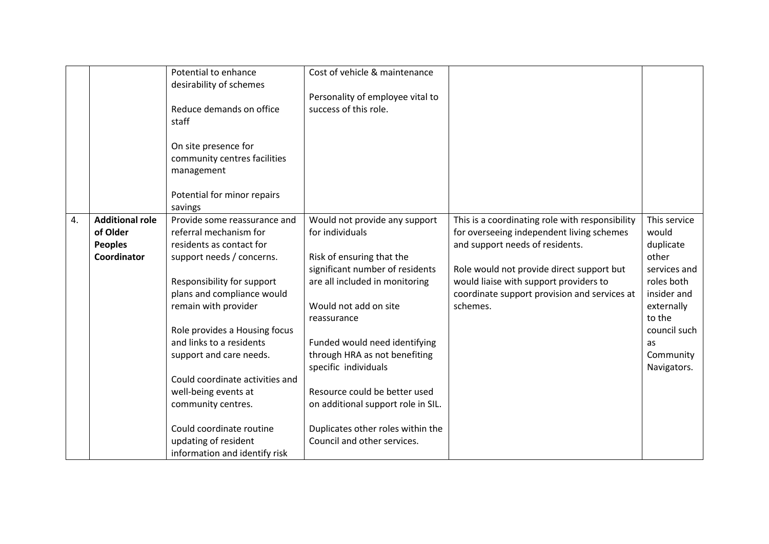|    |                        | Potential to enhance            | Cost of vehicle & maintenance      |                                                 |              |
|----|------------------------|---------------------------------|------------------------------------|-------------------------------------------------|--------------|
|    |                        | desirability of schemes         |                                    |                                                 |              |
|    |                        |                                 | Personality of employee vital to   |                                                 |              |
|    |                        | Reduce demands on office        | success of this role.              |                                                 |              |
|    |                        | staff                           |                                    |                                                 |              |
|    |                        |                                 |                                    |                                                 |              |
|    |                        | On site presence for            |                                    |                                                 |              |
|    |                        | community centres facilities    |                                    |                                                 |              |
|    |                        | management                      |                                    |                                                 |              |
|    |                        |                                 |                                    |                                                 |              |
|    |                        | Potential for minor repairs     |                                    |                                                 |              |
|    |                        | savings                         |                                    |                                                 |              |
| 4. | <b>Additional role</b> | Provide some reassurance and    | Would not provide any support      | This is a coordinating role with responsibility | This service |
|    |                        |                                 |                                    |                                                 |              |
|    | of Older               | referral mechanism for          | for individuals                    | for overseeing independent living schemes       | would        |
|    | <b>Peoples</b>         | residents as contact for        |                                    | and support needs of residents.                 | duplicate    |
|    | Coordinator            | support needs / concerns.       | Risk of ensuring that the          |                                                 | other        |
|    |                        |                                 | significant number of residents    | Role would not provide direct support but       | services and |
|    |                        | Responsibility for support      | are all included in monitoring     | would liaise with support providers to          | roles both   |
|    |                        | plans and compliance would      |                                    | coordinate support provision and services at    | insider and  |
|    |                        | remain with provider            | Would not add on site              | schemes.                                        | externally   |
|    |                        |                                 | reassurance                        |                                                 | to the       |
|    |                        | Role provides a Housing focus   |                                    |                                                 | council such |
|    |                        | and links to a residents        | Funded would need identifying      |                                                 | as           |
|    |                        | support and care needs.         | through HRA as not benefiting      |                                                 | Community    |
|    |                        |                                 | specific individuals               |                                                 | Navigators.  |
|    |                        | Could coordinate activities and |                                    |                                                 |              |
|    |                        | well-being events at            | Resource could be better used      |                                                 |              |
|    |                        | community centres.              | on additional support role in SIL. |                                                 |              |
|    |                        |                                 |                                    |                                                 |              |
|    |                        | Could coordinate routine        | Duplicates other roles within the  |                                                 |              |
|    |                        |                                 | Council and other services.        |                                                 |              |
|    |                        | updating of resident            |                                    |                                                 |              |
|    |                        | information and identify risk   |                                    |                                                 |              |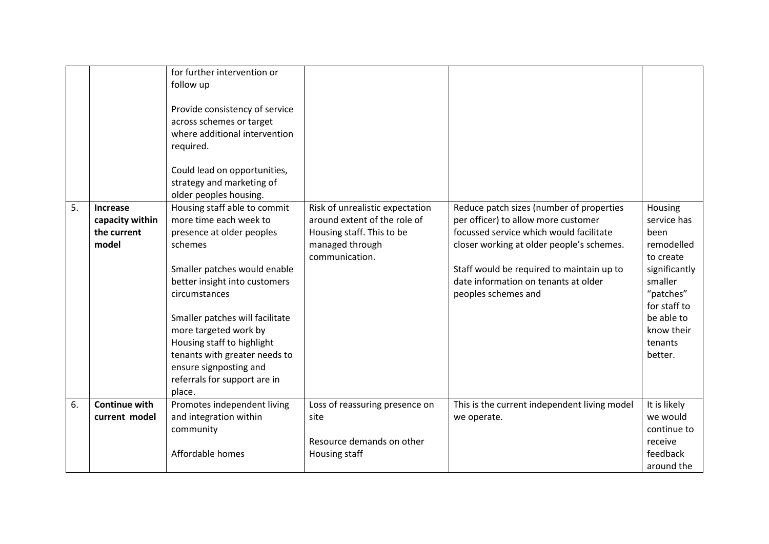|    |                                                            | for further intervention or<br>follow up<br>Provide consistency of service<br>across schemes or target<br>where additional intervention<br>required.<br>Could lead on opportunities,<br>strategy and marketing of<br>older peoples housing.                                                                                                                                     |                                                                                                                                   |                                                                                                                                                                                                                                                                                     |                                                                                                                                                                      |
|----|------------------------------------------------------------|---------------------------------------------------------------------------------------------------------------------------------------------------------------------------------------------------------------------------------------------------------------------------------------------------------------------------------------------------------------------------------|-----------------------------------------------------------------------------------------------------------------------------------|-------------------------------------------------------------------------------------------------------------------------------------------------------------------------------------------------------------------------------------------------------------------------------------|----------------------------------------------------------------------------------------------------------------------------------------------------------------------|
| 5. | <b>Increase</b><br>capacity within<br>the current<br>model | Housing staff able to commit<br>more time each week to<br>presence at older peoples<br>schemes<br>Smaller patches would enable<br>better insight into customers<br>circumstances<br>Smaller patches will facilitate<br>more targeted work by<br>Housing staff to highlight<br>tenants with greater needs to<br>ensure signposting and<br>referrals for support are in<br>place. | Risk of unrealistic expectation<br>around extent of the role of<br>Housing staff. This to be<br>managed through<br>communication. | Reduce patch sizes (number of properties<br>per officer) to allow more customer<br>focussed service which would facilitate<br>closer working at older people's schemes.<br>Staff would be required to maintain up to<br>date information on tenants at older<br>peoples schemes and | Housing<br>service has<br>been<br>remodelled<br>to create<br>significantly<br>smaller<br>"patches"<br>for staff to<br>be able to<br>know their<br>tenants<br>better. |
| 6. | <b>Continue with</b><br>current model                      | Promotes independent living<br>and integration within                                                                                                                                                                                                                                                                                                                           | Loss of reassuring presence on<br>site                                                                                            | This is the current independent living model<br>we operate.                                                                                                                                                                                                                         | It is likely<br>we would                                                                                                                                             |
|    |                                                            | community<br>Affordable homes                                                                                                                                                                                                                                                                                                                                                   | Resource demands on other<br>Housing staff                                                                                        |                                                                                                                                                                                                                                                                                     | continue to<br>receive<br>feedback<br>around the                                                                                                                     |